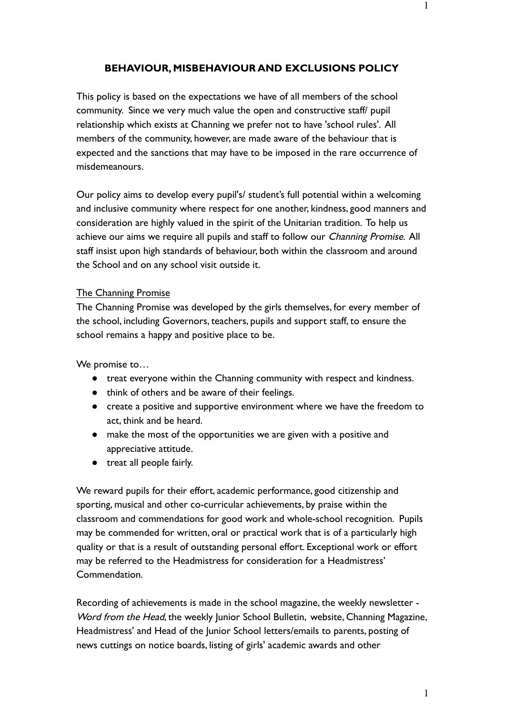## **BEHAVIOUR, MISBEHAVIOUR AND EXCLUSIONS POLICY**

This policy is based on the expectations we have of all members of the school community. Since we very much value the open and constructive staff/ pupil relationship which exists at Channing we prefer not to have 'school rules'. All members of the community, however, are made aware of the behaviour that is expected and the sanctions that may have to be imposed in the rare occurrence of misdemeanours.

Our policy aims to develop every pupil's/ student's full potential within a welcoming and inclusive community where respect for one another, kindness, good manners and consideration are highly valued in the spirit of the Unitarian tradition. To help us achieve our aims we require all pupils and staff to follow our *Channing Promise*. All staff insist upon high standards of behaviour, both within the classroom and around the School and on any school visit outside it.

#### The Channing Promise

The Channing Promise was developed by the girls themselves, for every member of the school, including Governors, teachers, pupils and support staff, to ensure the school remains a happy and positive place to be.

We promise to…

- treat everyone within the Channing community with respect and kindness.
- think of others and be aware of their feelings.
- create a positive and supportive environment where we have the freedom to act, think and be heard.
- make the most of the opportunities we are given with a positive and appreciative attitude.
- treat all people fairly.

We reward pupils for their effort, academic performance, good citizenship and sporting, musical and other co-curricular achievements, by praise within the classroom and commendations for good work and whole-school recognition. Pupils may be commended for written, oral or practical work that is of a particularly high quality or that is a result of outstanding personal effort. Exceptional work or effort may be referred to the Headmistress for consideration for a Headmistress' Commendation.

Recording of achievements is made in the school magazine, the weekly newsletter - Word from the Head, the weekly Junior School Bulletin, website, Channing Magazine, Headmistress' and Head of the Junior School letters/emails to parents, posting of news cuttings on notice boards, listing of girls' academic awards and other

1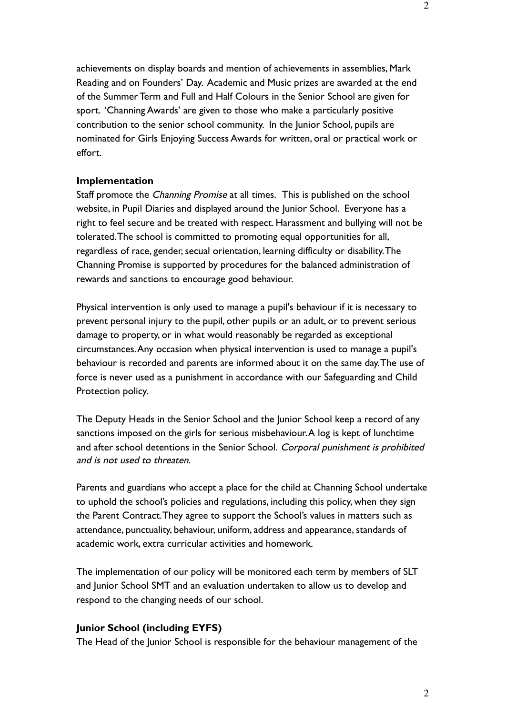achievements on display boards and mention of achievements in assemblies, Mark Reading and on Founders' Day. Academic and Music prizes are awarded at the end of the Summer Term and Full and Half Colours in the Senior School are given for sport. 'Channing Awards' are given to those who make a particularly positive contribution to the senior school community. In the Junior School, pupils are nominated for Girls Enjoying Success Awards for written, oral or practical work or effort.

### **Implementation**

Staff promote the *Channing Promise* at all times. This is published on the school website, in Pupil Diaries and displayed around the Junior School. Everyone has a right to feel secure and be treated with respect. Harassment and bullying will not be tolerated.The school is committed to promoting equal opportunities for all, regardless of race, gender, secual orientation, learning difficulty or disability.The Channing Promise is supported by procedures for the balanced administration of rewards and sanctions to encourage good behaviour.

Physical intervention is only used to manage a pupil's behaviour if it is necessary to prevent personal injury to the pupil, other pupils or an adult, or to prevent serious damage to property, or in what would reasonably be regarded as exceptional circumstances.Any occasion when physical intervention is used to manage a pupil's behaviour is recorded and parents are informed about it on the same day.The use of force is never used as a punishment in accordance with our Safeguarding and Child Protection policy.

The Deputy Heads in the Senior School and the Junior School keep a record of any sanctions imposed on the girls for serious misbehaviour.A log is kept of lunchtime and after school detentions in the Senior School. Corporal punishment is prohibited and is not used to threaten.

Parents and guardians who accept a place for the child at Channing School undertake to uphold the school's policies and regulations, including this policy, when they sign the Parent Contract.They agree to support the School's values in matters such as attendance, punctuality, behaviour, uniform, address and appearance, standards of academic work, extra curricular activities and homework.

The implementation of our policy will be monitored each term by members of SLT and Junior School SMT and an evaluation undertaken to allow us to develop and respond to the changing needs of our school.

### **Junior School (including EYFS)**

The Head of the Junior School is responsible for the behaviour management of the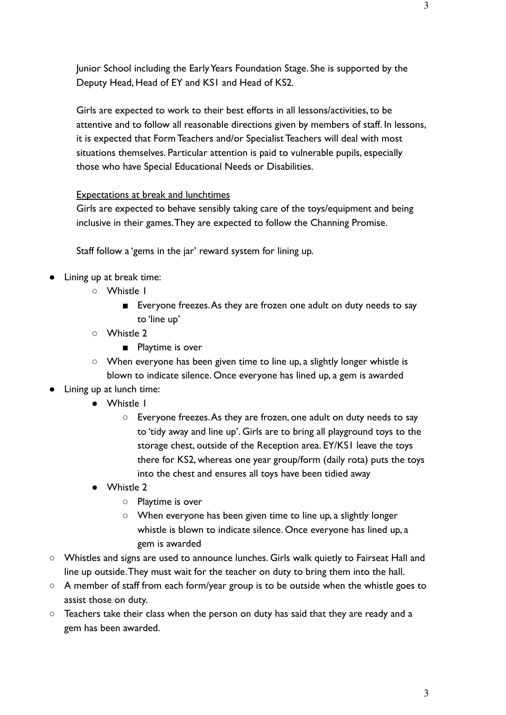Junior School including the Early Years Foundation Stage. She is supported by the Deputy Head, Head of EY and KS1 and Head of KS2.

Girls are expected to work to their best efforts in all lessons/activities, to be attentive and to follow all reasonable directions given by members of staff. In lessons, it is expected that Form Teachers and/or Specialist Teachers will deal with most situations themselves. Particular attention is paid to vulnerable pupils, especially those who have Special Educational Needs or Disabilities.

# Expectations at break and lunchtimes

Girls are expected to behave sensibly taking care of the toys/equipment and being inclusive in their games.They are expected to follow the Channing Promise.

Staff follow a 'gems in the jar' reward system for lining up.

- Lining up at break time:
	- Whistle 1
		- Everyone freezes. As they are frozen one adult on duty needs to say to 'line up'
	- Whistle 2
		- Playtime is over
	- When everyone has been given time to line up, a slightly longer whistle is blown to indicate silence. Once everyone has lined up, a gem is awarded
- Lining up at lunch time:
	- Whistle 1
		- Everyone freezes.As they are frozen, one adult on duty needs to say to 'tidy away and line up'. Girls are to bring all playground toys to the storage chest, outside of the Reception area. EY/KS1 leave the toys there for KS2, whereas one year group/form (daily rota) puts the toys into the chest and ensures all toys have been tidied away
	- Whistle 2
		- Playtime is over
		- When everyone has been given time to line up, a slightly longer whistle is blown to indicate silence. Once everyone has lined up, a gem is awarded
- Whistles and signs are used to announce lunches. Girls walk quietly to Fairseat Hall and line up outside.They must wait for the teacher on duty to bring them into the hall.
- A member of staff from each form/year group is to be outside when the whistle goes to assist those on duty.
- Teachers take their class when the person on duty has said that they are ready and a gem has been awarded.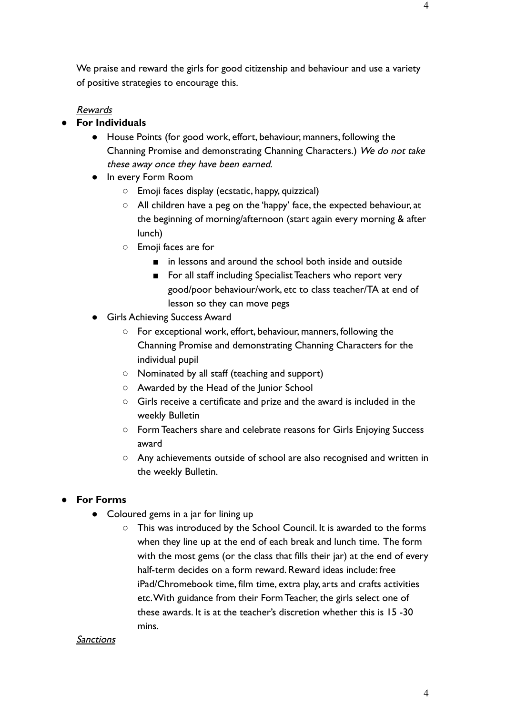# Rewards

- **● For Individuals**
	- House Points (for good work, effort, behaviour, manners, following the Channing Promise and demonstrating Channing Characters.) We do not take these away once they have been earned.
	- In every Form Room
		- Emoji faces display (ecstatic, happy, quizzical)
		- All children have a peg on the 'happy' face, the expected behaviour, at the beginning of morning/afternoon (start again every morning & after lunch)
		- Emoji faces are for
			- in lessons and around the school both inside and outside
			- For all staff including Specialist Teachers who report very good/poor behaviour/work, etc to class teacher/TA at end of lesson so they can move pegs
	- Girls Achieving Success Award
		- For exceptional work, effort, behaviour, manners, following the Channing Promise and demonstrating Channing Characters for the individual pupil
		- Nominated by all staff (teaching and support)
		- Awarded by the Head of the Junior School
		- Girls receive a certificate and prize and the award is included in the weekly Bulletin
		- Form Teachers share and celebrate reasons for Girls Enjoying Success award
		- Any achievements outside of school are also recognised and written in the weekly Bulletin.

# ● **For Forms**

- Coloured gems in a jar for lining up
	- This was introduced by the School Council. It is awarded to the forms when they line up at the end of each break and lunch time. The form with the most gems (or the class that fills their jar) at the end of every half-term decides on a form reward. Reward ideas include: free iPad/Chromebook time, film time, extra play, arts and crafts activities etc.With guidance from their Form Teacher, the girls select one of these awards. It is at the teacher's discretion whether this is 15 -30 mins.

### **Sanctions**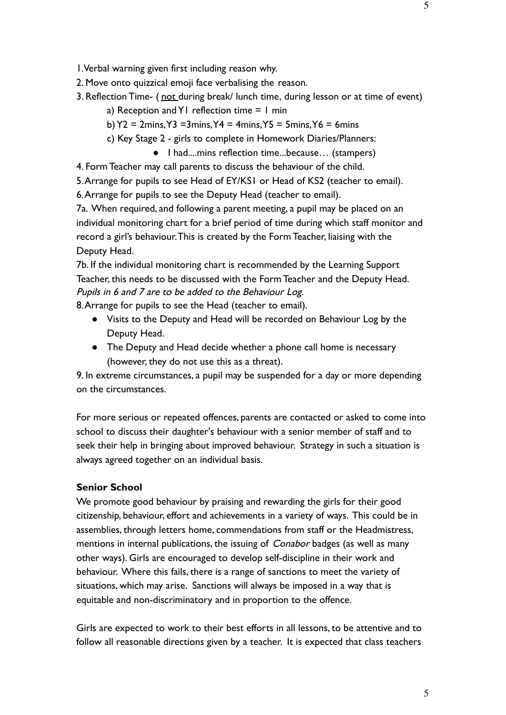1.Verbal warning given first including reason why.

2. Move onto quizzical emoji face verbalising the reason.

- 3. Reflection Time- (not during break/ lunch time, during lesson or at time of event)
	- a) Reception and Y1 reflection time  $= 1$  min
	- b)  $Y2 = 2 \text{mins}, Y3 = 3 \text{mins}, Y4 = 4 \text{mins}, Y5 = 5 \text{mins}, Y6 = 6 \text{mins}$
	- c) Key Stage 2 girls to complete in Homework Diaries/Planners:
		- I had....mins reflection time...because… (stampers)

4. Form Teacher may call parents to discuss the behaviour of the child.

5.Arrange for pupils to see Head of EY/KS1 or Head of KS2 (teacher to email).

6.Arrange for pupils to see the Deputy Head (teacher to email).

7a. When required, and following a parent meeting, a pupil may be placed on an individual monitoring chart for a brief period of time during which staff monitor and record a girl's behaviour.This is created by the Form Teacher, liaising with the Deputy Head.

7b. If the individual monitoring chart is recommended by the Learning Support Teacher, this needs to be discussed with the Form Teacher and the Deputy Head. Pupils in 6 and 7 are to be added to the Behaviour Log.

8.Arrange for pupils to see the Head (teacher to email).

- Visits to the Deputy and Head will be recorded on Behaviour Log by the Deputy Head.
- The Deputy and Head decide whether a phone call home is necessary (however, they do not use this as a threat).

9. In extreme circumstances, a pupil may be suspended for a day or more depending on the circumstances.

For more serious or repeated offences, parents are contacted or asked to come into school to discuss their daughter's behaviour with a senior member of staff and to seek their help in bringing about improved behaviour. Strategy in such a situation is always agreed together on an individual basis.

## **Senior School**

We promote good behaviour by praising and rewarding the girls for their good citizenship, behaviour, effort and achievements in a variety of ways. This could be in assemblies, through letters home, commendations from staff or the Headmistress, mentions in internal publications, the issuing of *Conabor* badges (as well as many other ways). Girls are encouraged to develop self-discipline in their work and behaviour. Where this fails, there is a range of sanctions to meet the variety of situations, which may arise. Sanctions will always be imposed in a way that is equitable and non-discriminatory and in proportion to the offence.

Girls are expected to work to their best efforts in all lessons, to be attentive and to follow all reasonable directions given by a teacher. It is expected that class teachers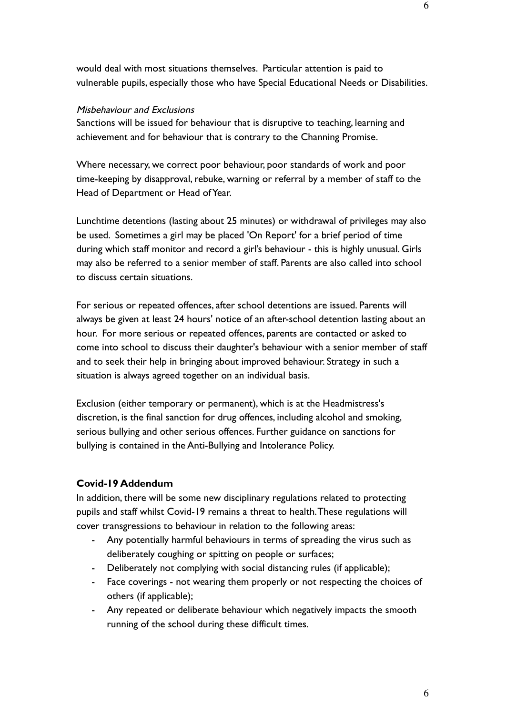# Misbehaviour and Exclusions

Sanctions will be issued for behaviour that is disruptive to teaching, learning and achievement and for behaviour that is contrary to the Channing Promise.

Where necessary, we correct poor behaviour, poor standards of work and poor time-keeping by disapproval, rebuke, warning or referral by a member of staff to the Head of Department or Head of Year.

Lunchtime detentions (lasting about 25 minutes) or withdrawal of privileges may also be used. Sometimes a girl may be placed 'On Report' for a brief period of time during which staff monitor and record a girl's behaviour - this is highly unusual. Girls may also be referred to a senior member of staff. Parents are also called into school to discuss certain situations.

For serious or repeated offences, after school detentions are issued. Parents will always be given at least 24 hours' notice of an after-school detention lasting about an hour. For more serious or repeated offences, parents are contacted or asked to come into school to discuss their daughter's behaviour with a senior member of staff and to seek their help in bringing about improved behaviour. Strategy in such a situation is always agreed together on an individual basis.

Exclusion (either temporary or permanent), which is at the Headmistress's discretion, is the final sanction for drug offences, including alcohol and smoking, serious bullying and other serious offences. Further guidance on sanctions for bullying is contained in the Anti-Bullying and Intolerance Policy.

# **Covid-19 Addendum**

In addition, there will be some new disciplinary regulations related to protecting pupils and staff whilst Covid-19 remains a threat to health.These regulations will cover transgressions to behaviour in relation to the following areas:

- Any potentially harmful behaviours in terms of spreading the virus such as deliberately coughing or spitting on people or surfaces;
- Deliberately not complying with social distancing rules (if applicable);
- Face coverings not wearing them properly or not respecting the choices of others (if applicable);
- Any repeated or deliberate behaviour which negatively impacts the smooth running of the school during these difficult times.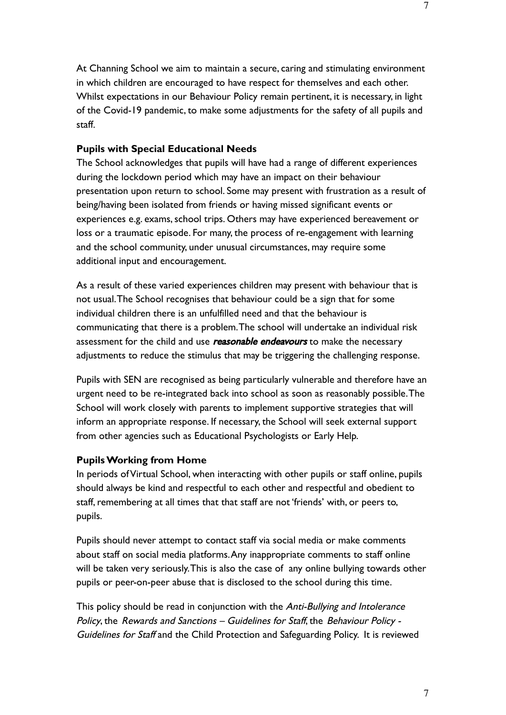At Channing School we aim to maintain a secure, caring and stimulating environment in which children are encouraged to have respect for themselves and each other. Whilst expectations in our Behaviour Policy remain pertinent, it is necessary, in light of the Covid-19 pandemic, to make some adjustments for the safety of all pupils and staff.

### **Pupils with Special Educational Needs**

The School acknowledges that pupils will have had a range of different experiences during the lockdown period which may have an impact on their behaviour presentation upon return to school. Some may present with frustration as a result of being/having been isolated from friends or having missed significant events or experiences e.g. exams, school trips. Others may have experienced bereavement or loss or a traumatic episode. For many, the process of re-engagement with learning and the school community, under unusual circumstances, may require some additional input and encouragement.

As a result of these varied experiences children may present with behaviour that is not usual.The School recognises that behaviour could be a sign that for some individual children there is an unfulfilled need and that the behaviour is communicating that there is a problem.The school will undertake an individual risk assessment for the child and use *reasonable endeavours* to make the necessary adjustments to reduce the stimulus that may be triggering the challenging response.

Pupils with SEN are recognised as being particularly vulnerable and therefore have an urgent need to be re-integrated back into school as soon as reasonably possible.The School will work closely with parents to implement supportive strategies that will inform an appropriate response. If necessary, the School will seek external support from other agencies such as Educational Psychologists or Early Help.

#### **Pupils Working from Home**

In periods of Virtual School, when interacting with other pupils or staff online, pupils should always be kind and respectful to each other and respectful and obedient to staff, remembering at all times that that staff are not 'friends' with, or peers to, pupils.

Pupils should never attempt to contact staff via social media or make comments about staff on social media platforms.Any inappropriate comments to staff online will be taken very seriously.This is also the case of any online bullying towards other pupils or peer-on-peer abuse that is disclosed to the school during this time.

This policy should be read in conjunction with the Anti-Bullying and Intolerance Policy, the Rewards and Sanctions – Guidelines for Staff, the Behaviour Policy - Guidelines for Staff and the Child Protection and Safeguarding Policy. It is reviewed